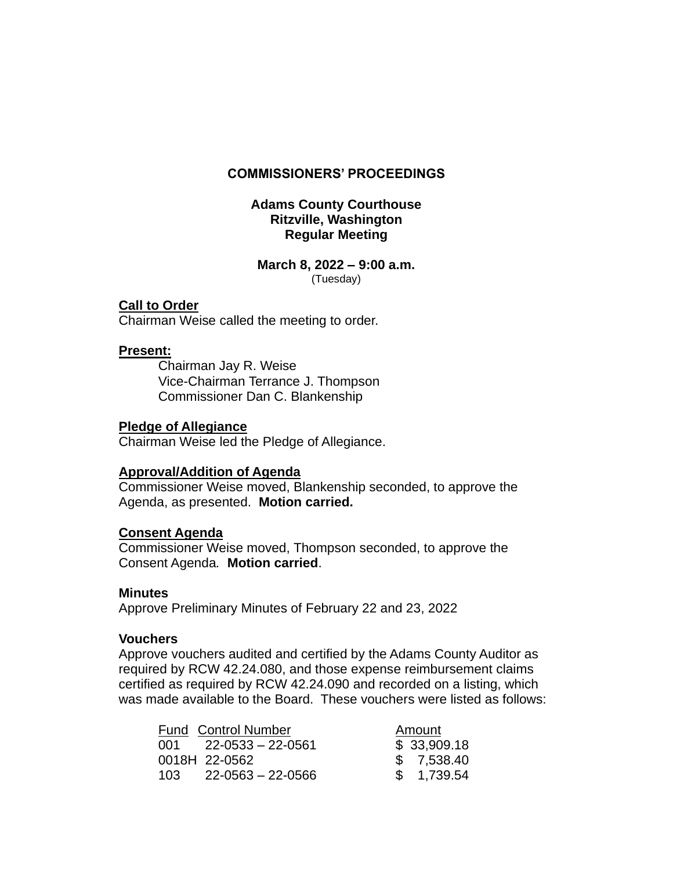### **COMMISSIONERS' PROCEEDINGS**

# **Adams County Courthouse Ritzville, Washington Regular Meeting**

### **March 8, 2022 – 9:00 a.m.** (Tuesday)

# **Call to Order**

Chairman Weise called the meeting to order.

# **Present:**

Chairman Jay R. Weise Vice-Chairman Terrance J. Thompson Commissioner Dan C. Blankenship

# **Pledge of Allegiance**

Chairman Weise led the Pledge of Allegiance.

### **Approval/Addition of Agenda**

Commissioner Weise moved, Blankenship seconded, to approve the Agenda, as presented. **Motion carried.**

### **Consent Agenda**

Commissioner Weise moved, Thompson seconded, to approve the Consent Agenda*.* **Motion carried**.

### **Minutes**

Approve Preliminary Minutes of February 22 and 23, 2022

# **Vouchers**

Approve vouchers audited and certified by the Adams County Auditor as required by RCW 42.24.080, and those expense reimbursement claims certified as required by RCW 42.24.090 and recorded on a listing, which was made available to the Board. These vouchers were listed as follows:

|       | Fund Control Number     | Amount      |
|-------|-------------------------|-------------|
|       | $001$ 22-0533 - 22-0561 | \$33,909.18 |
|       | 0018H 22-0562           | \$7,538.40  |
| 103 L | 22-0563 – 22-0566       | \$ 1.739.54 |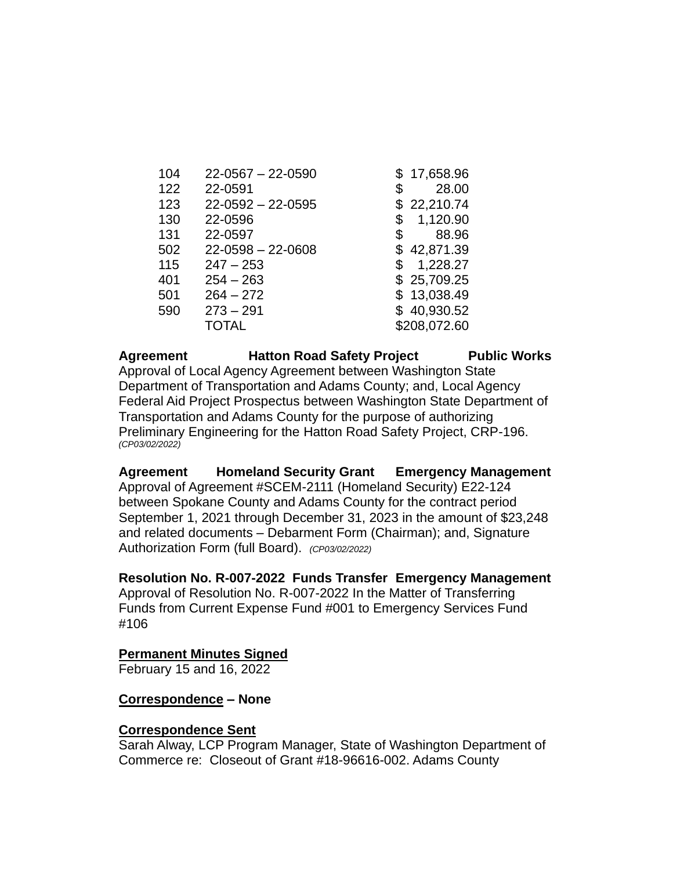| 104 | $22 - 0567 - 22 - 0590$ | \$17,658.96    |
|-----|-------------------------|----------------|
| 122 | 22-0591                 | \$<br>28.00    |
| 123 | $22 - 0592 - 22 - 0595$ | \$22,210.74    |
| 130 | 22-0596                 | \$<br>1,120.90 |
| 131 | 22-0597                 | \$<br>88.96    |
| 502 | $22 - 0598 - 22 - 0608$ | \$42,871.39    |
| 115 | $247 - 253$             | \$<br>1,228.27 |
| 401 | $254 - 263$             | \$25,709.25    |
| 501 | $264 - 272$             | \$13,038.49    |
| 590 | $273 - 291$             | \$40,930.52    |
|     | TOTAL                   | \$208,072.60   |

Agreement **Hatton Road Safety Project** Public Works Approval of Local Agency Agreement between Washington State Department of Transportation and Adams County; and, Local Agency Federal Aid Project Prospectus between Washington State Department of Transportation and Adams County for the purpose of authorizing Preliminary Engineering for the Hatton Road Safety Project, CRP-196. *(CP03/02/2022)*

**Agreement Homeland Security Grant Emergency Management** Approval of Agreement #SCEM-2111 (Homeland Security) E22-124 between Spokane County and Adams County for the contract period September 1, 2021 through December 31, 2023 in the amount of \$23,248 and related documents – Debarment Form (Chairman); and, Signature Authorization Form (full Board). *(CP03/02/2022)*

### **Resolution No. R-007-2022 Funds Transfer Emergency Management**

Approval of Resolution No. R-007-2022 In the Matter of Transferring Funds from Current Expense Fund #001 to Emergency Services Fund #106

### **Permanent Minutes Signed**

February 15 and 16, 2022

### **Correspondence – None**

### **Correspondence Sent**

Sarah Alway, LCP Program Manager, State of Washington Department of Commerce re: Closeout of Grant #18-96616-002. Adams County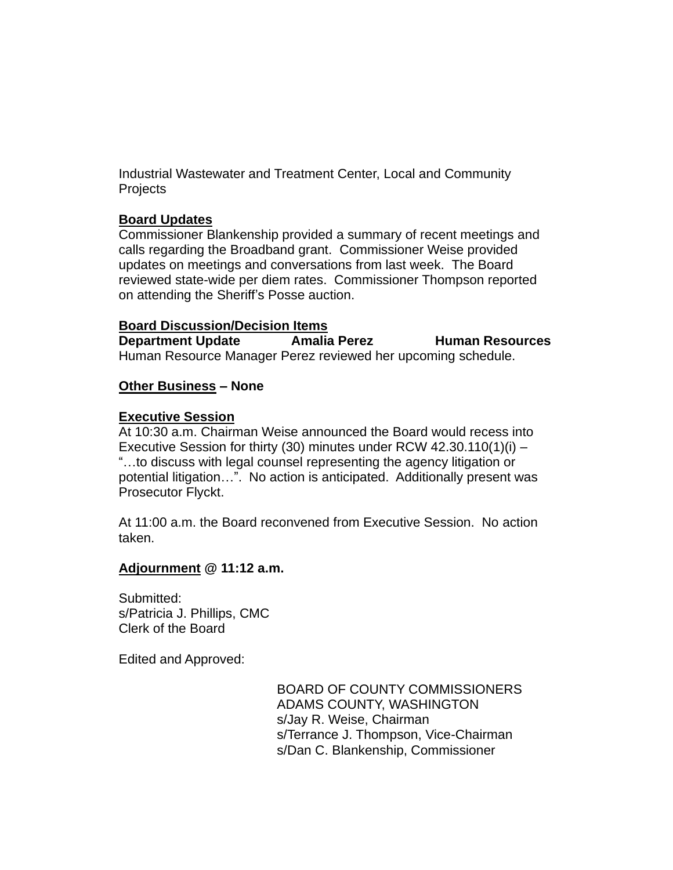Industrial Wastewater and Treatment Center, Local and Community **Projects** 

# **Board Updates**

Commissioner Blankenship provided a summary of recent meetings and calls regarding the Broadband grant. Commissioner Weise provided updates on meetings and conversations from last week. The Board reviewed state-wide per diem rates. Commissioner Thompson reported on attending the Sheriff's Posse auction.

# **Board Discussion/Decision Items**

**Department Update Amalia Perez Human Resources** Human Resource Manager Perez reviewed her upcoming schedule.

# **Other Business – None**

# **Executive Session**

At 10:30 a.m. Chairman Weise announced the Board would recess into Executive Session for thirty (30) minutes under RCW 42.30.110(1)(i)  $-$ "…to discuss with legal counsel representing the agency litigation or potential litigation…". No action is anticipated. Additionally present was Prosecutor Flyckt.

At 11:00 a.m. the Board reconvened from Executive Session. No action taken.

# **Adjournment @ 11:12 a.m.**

Submitted: s/Patricia J. Phillips, CMC Clerk of the Board

Edited and Approved:

BOARD OF COUNTY COMMISSIONERS ADAMS COUNTY, WASHINGTON s/Jay R. Weise, Chairman s/Terrance J. Thompson, Vice-Chairman s/Dan C. Blankenship, Commissioner